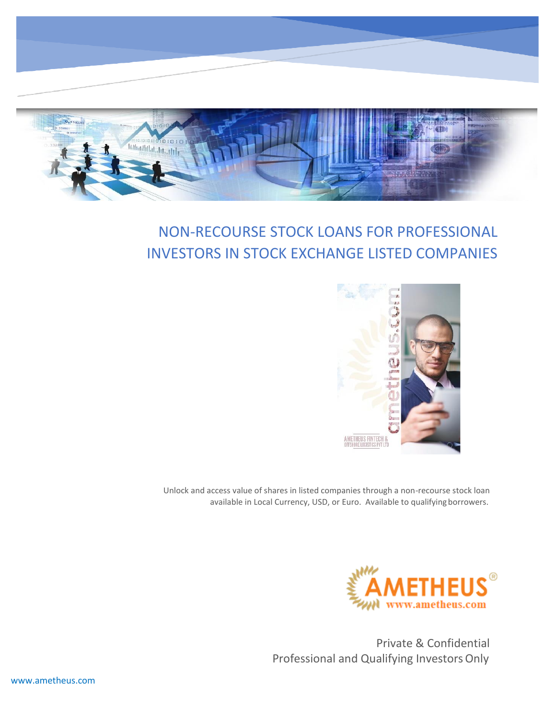

# NON-RECOURSE STOCK LOANS FOR PROFESSIONAL INVESTORS IN STOCK EXCHANGE LISTED COMPANIES



Unlock and access value of shares in listed companies through a non-recourse stock loan available in Local Currency, USD, or Euro. Available to qualifying borrowers.



Private & Confidential Professional and Qualifying Investors Only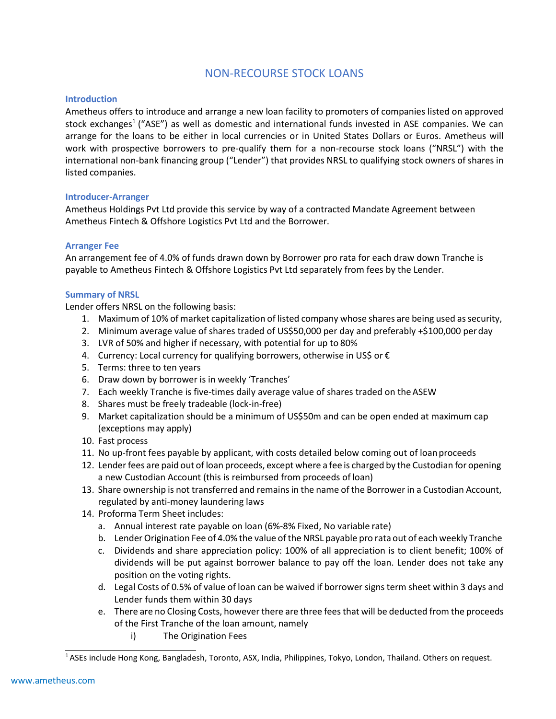## NON-RECOURSE STOCK LOANS

## **Introduction**

Ametheus offers to introduce and arrange a new loan facility to promoters of companies listed on approved stock exchanges<sup>1</sup> ("ASE") as well as domestic and international funds invested in ASE companies. We can arrange for the loans to be either in local currencies or in United States Dollars or Euros. Ametheus will work with prospective borrowers to pre-qualify them for a non-recourse stock loans ("NRSL") with the international non-bank financing group ("Lender") that provides NRSL to qualifying stock owners of shares in listed companies.

## **Introducer-Arranger**

Ametheus Holdings Pvt Ltd provide this service by way of a contracted Mandate Agreement between Ametheus Fintech & Offshore Logistics Pvt Ltd and the Borrower.

## **Arranger Fee**

An arrangement fee of 4.0% of funds drawn down by Borrower pro rata for each draw down Tranche is payable to Ametheus Fintech & Offshore Logistics Pvt Ltd separately from fees by the Lender.

## **Summary of NRSL**

Lender offers NRSL on the following basis:

- 1. Maximum of 10% of market capitalization of listed company whose shares are being used as security,
- 2. Minimum average value of shares traded of US\$50,000 per day and preferably +\$100,000 perday
- 3. LVR of 50% and higher if necessary, with potential for up to 80%
- 4. Currency: Local currency for qualifying borrowers, otherwise in US\$ or €
- 5. Terms: three to ten years
- 6. Draw down by borrower is in weekly 'Tranches'
- 7. Each weekly Tranche is five-times daily average value of shares traded on the ASEW
- 8. Shares must be freely tradeable (lock-in-free)
- 9. Market capitalization should be a minimum of US\$50m and can be open ended at maximum cap (exceptions may apply)
- 10. Fast process
- 11. No up-front fees payable by applicant, with costs detailed below coming out of loanproceeds
- 12. Lender fees are paid out of loan proceeds, except where a fee is charged by the Custodian for opening a new Custodian Account (this is reimbursed from proceeds of loan)
- 13. Share ownership is not transferred and remainsin the name of the Borrower in a Custodian Account, regulated by anti-money laundering laws
- 14. Proforma Term Sheet includes:
	- a. Annual interest rate payable on loan (6%-8% Fixed, No variable rate)
	- b. Lender Origination Fee of 4.0% the value of the NRSL payable pro rata out of each weekly Tranche
	- c. Dividends and share appreciation policy: 100% of all appreciation is to client benefit; 100% of dividends will be put against borrower balance to pay off the loan. Lender does not take any position on the voting rights.
	- d. Legal Costs of 0.5% of value of loan can be waived if borrower signs term sheet within 3 days and Lender funds them within 30 days
	- e. There are no Closing Costs, however there are three feesthat will be deducted from the proceeds of the First Tranche of the loan amount, namely
		- i) The Origination Fees

<sup>1</sup>ASEs include Hong Kong, Bangladesh, Toronto, ASX, India, Philippines, Tokyo, London, Thailand. Others on request.